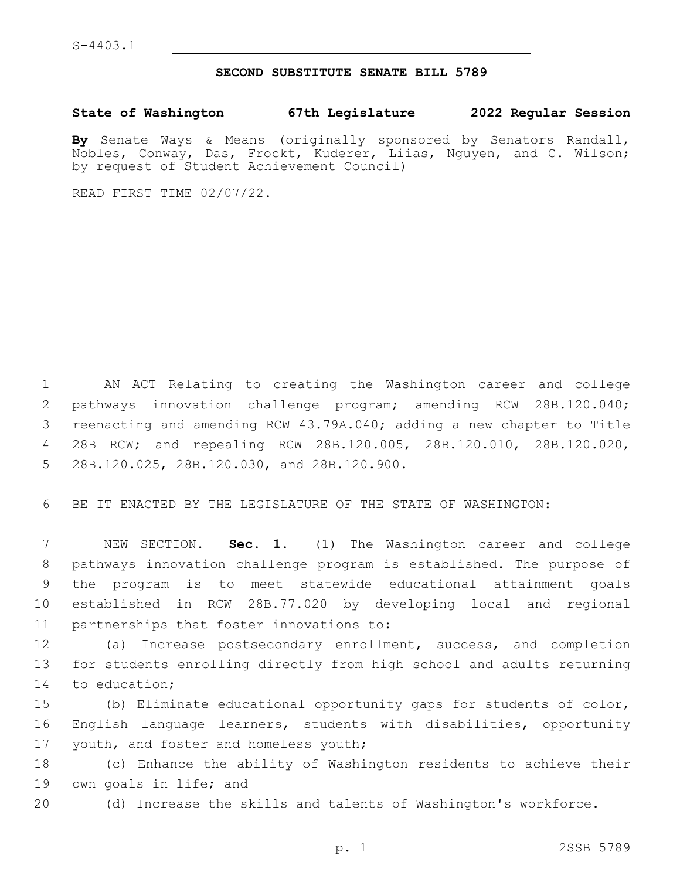## **SECOND SUBSTITUTE SENATE BILL 5789**

**State of Washington 67th Legislature 2022 Regular Session**

**By** Senate Ways & Means (originally sponsored by Senators Randall, Nobles, Conway, Das, Frockt, Kuderer, Liias, Nguyen, and C. Wilson; by request of Student Achievement Council)

READ FIRST TIME 02/07/22.

 AN ACT Relating to creating the Washington career and college pathways innovation challenge program; amending RCW 28B.120.040; reenacting and amending RCW 43.79A.040; adding a new chapter to Title 28B RCW; and repealing RCW 28B.120.005, 28B.120.010, 28B.120.020, 5 28B.120.025, 28B.120.030, and 28B.120.900.

6 BE IT ENACTED BY THE LEGISLATURE OF THE STATE OF WASHINGTON:

 NEW SECTION. **Sec. 1.** (1) The Washington career and college pathways innovation challenge program is established. The purpose of the program is to meet statewide educational attainment goals established in RCW 28B.77.020 by developing local and regional partnerships that foster innovations to:

12 (a) Increase postsecondary enrollment, success, and completion 13 for students enrolling directly from high school and adults returning 14 to education;

15 (b) Eliminate educational opportunity gaps for students of color, 16 English language learners, students with disabilities, opportunity 17 youth, and foster and homeless youth;

18 (c) Enhance the ability of Washington residents to achieve their 19 own goals in life; and

20 (d) Increase the skills and talents of Washington's workforce.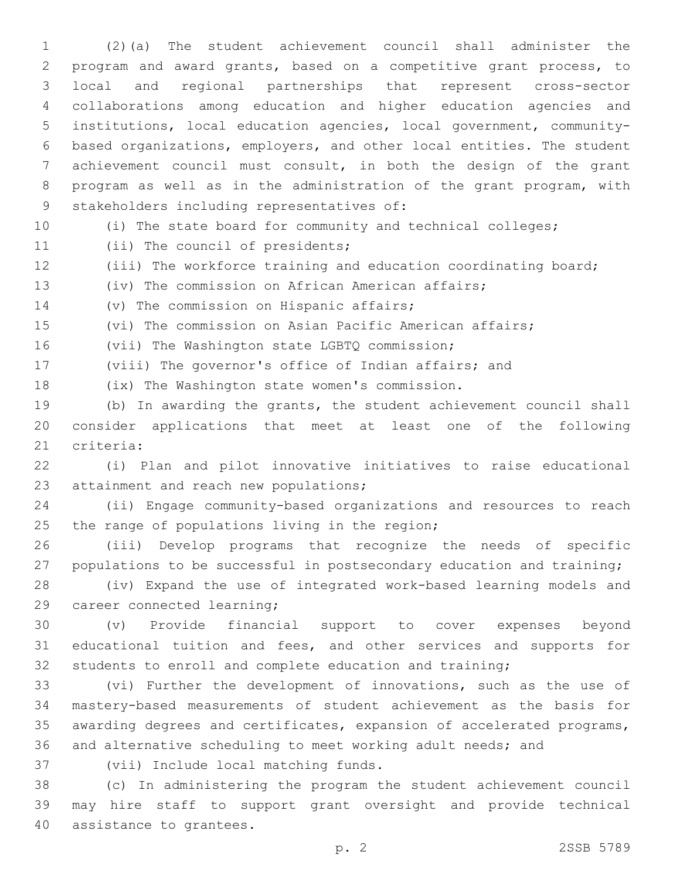(2)(a) The student achievement council shall administer the program and award grants, based on a competitive grant process, to local and regional partnerships that represent cross-sector collaborations among education and higher education agencies and institutions, local education agencies, local government, community- based organizations, employers, and other local entities. The student achievement council must consult, in both the design of the grant program as well as in the administration of the grant program, with 9 stakeholders including representatives of:

(i) The state board for community and technical colleges;

11 (ii) The council of presidents;

(iii) The workforce training and education coordinating board;

(iv) The commission on African American affairs;

14 (v) The commission on Hispanic affairs;

(vi) The commission on Asian Pacific American affairs;

16 (vii) The Washington state LGBTQ commission;

(viii) The governor's office of Indian affairs; and

18 (ix) The Washington state women's commission.

 (b) In awarding the grants, the student achievement council shall consider applications that meet at least one of the following 21 criteria:

 (i) Plan and pilot innovative initiatives to raise educational 23 attainment and reach new populations;

 (ii) Engage community-based organizations and resources to reach 25 the range of populations living in the region;

 (iii) Develop programs that recognize the needs of specific 27 populations to be successful in postsecondary education and training;

 (iv) Expand the use of integrated work-based learning models and 29 career connected learning;

 (v) Provide financial support to cover expenses beyond educational tuition and fees, and other services and supports for students to enroll and complete education and training;

 (vi) Further the development of innovations, such as the use of mastery-based measurements of student achievement as the basis for awarding degrees and certificates, expansion of accelerated programs, and alternative scheduling to meet working adult needs; and

37 (vii) Include local matching funds.

 (c) In administering the program the student achievement council may hire staff to support grant oversight and provide technical 40 assistance to grantees.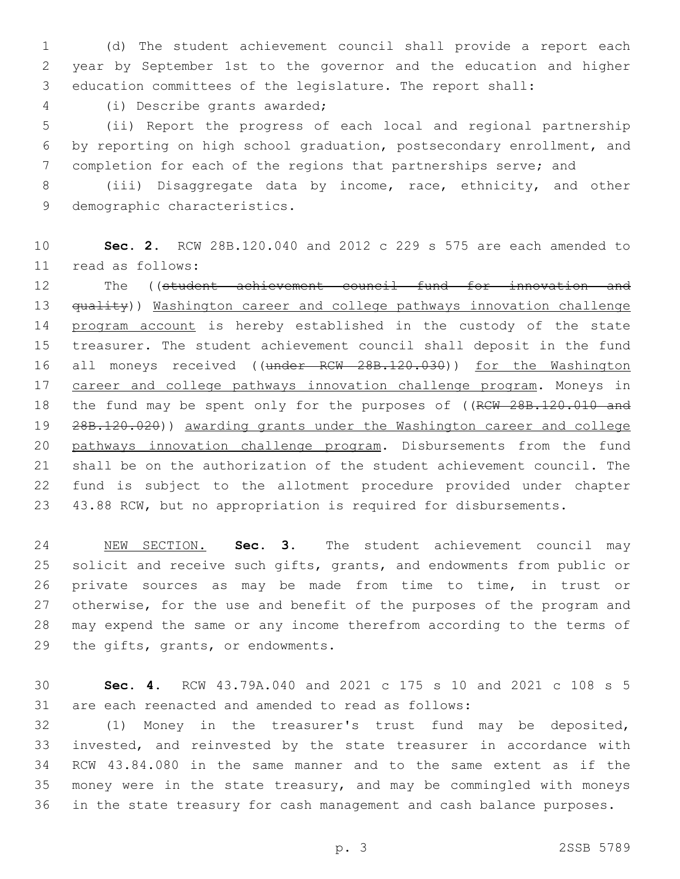(d) The student achievement council shall provide a report each year by September 1st to the governor and the education and higher education committees of the legislature. The report shall:

(i) Describe grants awarded;4

 (ii) Report the progress of each local and regional partnership by reporting on high school graduation, postsecondary enrollment, and completion for each of the regions that partnerships serve; and

 (iii) Disaggregate data by income, race, ethnicity, and other 9 demographic characteristics.

 **Sec. 2.** RCW 28B.120.040 and 2012 c 229 s 575 are each amended to read as follows:11

 The ((student achievement council fund for innovation and 13 <del>quality</del>)) Washington career and college pathways innovation challenge 14 program account is hereby established in the custody of the state treasurer. The student achievement council shall deposit in the fund 16 all moneys received ((under RCW 28B.120.030)) for the Washington 17 career and college pathways innovation challenge program. Moneys in 18 the fund may be spent only for the purposes of ((RCW 28B.120.010 and 19 28B.120.020)) awarding grants under the Washington career and college 20 pathways innovation challenge program. Disbursements from the fund shall be on the authorization of the student achievement council. The fund is subject to the allotment procedure provided under chapter 43.88 RCW, but no appropriation is required for disbursements.

 NEW SECTION. **Sec. 3.** The student achievement council may solicit and receive such gifts, grants, and endowments from public or private sources as may be made from time to time, in trust or otherwise, for the use and benefit of the purposes of the program and may expend the same or any income therefrom according to the terms of the gifts, grants, or endowments.

 **Sec. 4.** RCW 43.79A.040 and 2021 c 175 s 10 and 2021 c 108 s 5 are each reenacted and amended to read as follows:

 (1) Money in the treasurer's trust fund may be deposited, invested, and reinvested by the state treasurer in accordance with RCW 43.84.080 in the same manner and to the same extent as if the money were in the state treasury, and may be commingled with moneys in the state treasury for cash management and cash balance purposes.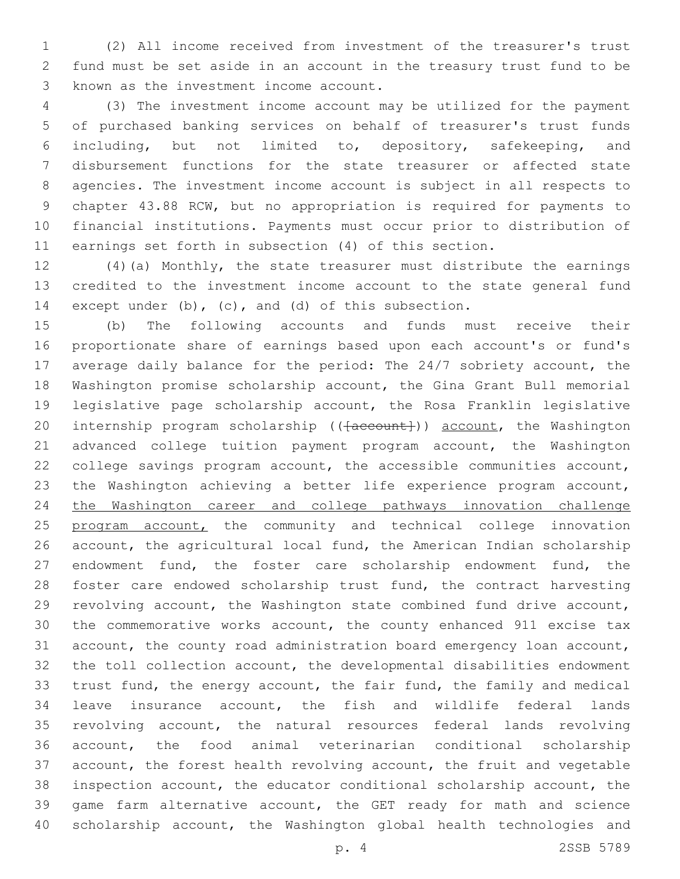(2) All income received from investment of the treasurer's trust fund must be set aside in an account in the treasury trust fund to be 3 known as the investment income account.

 (3) The investment income account may be utilized for the payment of purchased banking services on behalf of treasurer's trust funds including, but not limited to, depository, safekeeping, and disbursement functions for the state treasurer or affected state agencies. The investment income account is subject in all respects to chapter 43.88 RCW, but no appropriation is required for payments to financial institutions. Payments must occur prior to distribution of earnings set forth in subsection (4) of this section.

 (4)(a) Monthly, the state treasurer must distribute the earnings credited to the investment income account to the state general fund except under (b), (c), and (d) of this subsection.

 (b) The following accounts and funds must receive their proportionate share of earnings based upon each account's or fund's average daily balance for the period: The 24/7 sobriety account, the Washington promise scholarship account, the Gina Grant Bull memorial legislative page scholarship account, the Rosa Franklin legislative 20 internship program scholarship (( $\{a$ ccount)) account, the Washington advanced college tuition payment program account, the Washington college savings program account, the accessible communities account, the Washington achieving a better life experience program account, the Washington career and college pathways innovation challenge 25 program account, the community and technical college innovation account, the agricultural local fund, the American Indian scholarship 27 endowment fund, the foster care scholarship endowment fund, the foster care endowed scholarship trust fund, the contract harvesting revolving account, the Washington state combined fund drive account, the commemorative works account, the county enhanced 911 excise tax account, the county road administration board emergency loan account, the toll collection account, the developmental disabilities endowment trust fund, the energy account, the fair fund, the family and medical leave insurance account, the fish and wildlife federal lands revolving account, the natural resources federal lands revolving account, the food animal veterinarian conditional scholarship account, the forest health revolving account, the fruit and vegetable inspection account, the educator conditional scholarship account, the game farm alternative account, the GET ready for math and science scholarship account, the Washington global health technologies and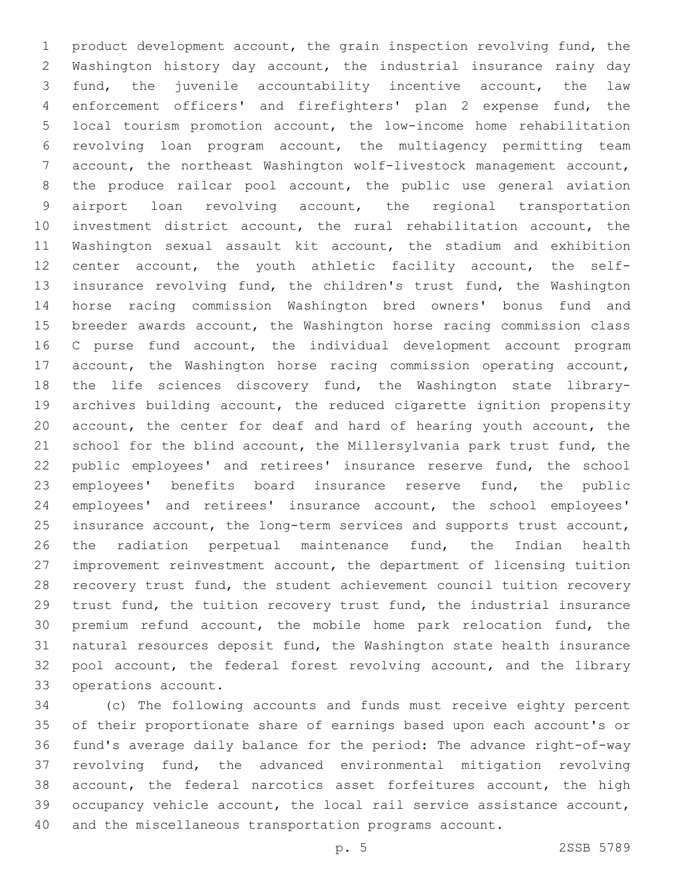product development account, the grain inspection revolving fund, the Washington history day account, the industrial insurance rainy day fund, the juvenile accountability incentive account, the law enforcement officers' and firefighters' plan 2 expense fund, the local tourism promotion account, the low-income home rehabilitation revolving loan program account, the multiagency permitting team account, the northeast Washington wolf-livestock management account, the produce railcar pool account, the public use general aviation airport loan revolving account, the regional transportation investment district account, the rural rehabilitation account, the Washington sexual assault kit account, the stadium and exhibition center account, the youth athletic facility account, the self- insurance revolving fund, the children's trust fund, the Washington horse racing commission Washington bred owners' bonus fund and breeder awards account, the Washington horse racing commission class 16 C purse fund account, the individual development account program account, the Washington horse racing commission operating account, the life sciences discovery fund, the Washington state library- archives building account, the reduced cigarette ignition propensity account, the center for deaf and hard of hearing youth account, the school for the blind account, the Millersylvania park trust fund, the public employees' and retirees' insurance reserve fund, the school employees' benefits board insurance reserve fund, the public employees' and retirees' insurance account, the school employees' insurance account, the long-term services and supports trust account, the radiation perpetual maintenance fund, the Indian health improvement reinvestment account, the department of licensing tuition recovery trust fund, the student achievement council tuition recovery trust fund, the tuition recovery trust fund, the industrial insurance premium refund account, the mobile home park relocation fund, the natural resources deposit fund, the Washington state health insurance 32 pool account, the federal forest revolving account, and the library 33 operations account.

 (c) The following accounts and funds must receive eighty percent of their proportionate share of earnings based upon each account's or fund's average daily balance for the period: The advance right-of-way revolving fund, the advanced environmental mitigation revolving account, the federal narcotics asset forfeitures account, the high occupancy vehicle account, the local rail service assistance account, and the miscellaneous transportation programs account.